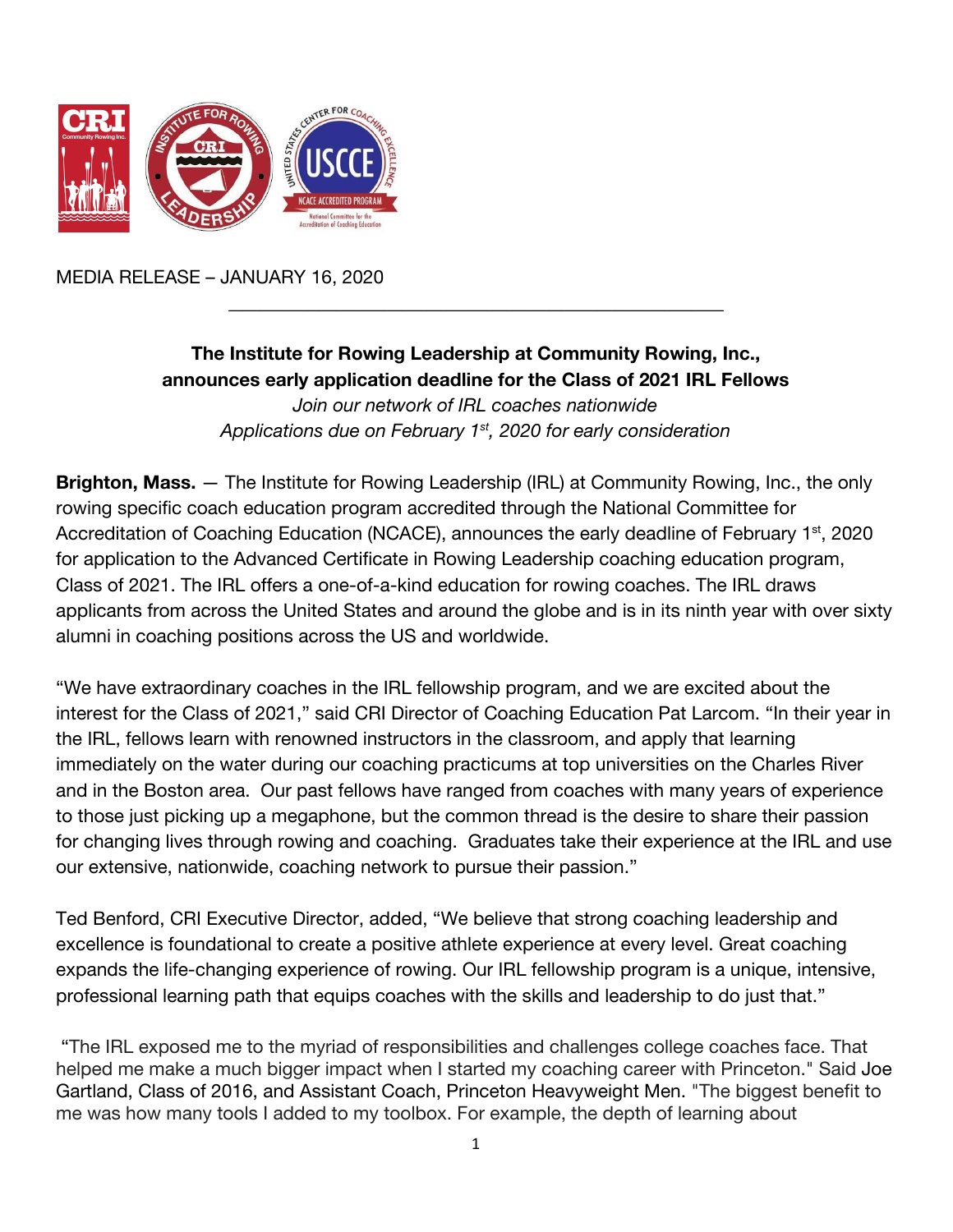

MEDIA RELEASE – JANUARY 16, 2020

## **The Institute for Rowing Leadership at Community Rowing, Inc., announces early application deadline for the Class of 2021 IRL Fellows** *Join our network of IRL coaches nationwide Applications due on February 1st , 2020 for early consideration*

 $\frac{1}{2}$  ,  $\frac{1}{2}$  ,  $\frac{1}{2}$  ,  $\frac{1}{2}$  ,  $\frac{1}{2}$  ,  $\frac{1}{2}$  ,  $\frac{1}{2}$  ,  $\frac{1}{2}$  ,  $\frac{1}{2}$  ,  $\frac{1}{2}$  ,  $\frac{1}{2}$  ,  $\frac{1}{2}$  ,  $\frac{1}{2}$  ,  $\frac{1}{2}$  ,  $\frac{1}{2}$  ,  $\frac{1}{2}$  ,  $\frac{1}{2}$  ,  $\frac{1}{2}$  ,  $\frac{1$ 

**Brighton, Mass.** — The Institute for Rowing Leadership (IRL) at Community Rowing, Inc., the only rowing specific coach education program accredited through the National Committee for Accreditation of Coaching Education (NCACE), announces the early deadline of February 1<sup>st</sup>, 2020 for application to the Advanced Certificate in Rowing Leadership coaching education program, Class of 2021. The IRL offers a one-of-a-kind education for rowing coaches. The IRL draws applicants from across the United States and around the globe and is in its ninth year with over sixty alumni in coaching positions across the US and worldwide.

"We have extraordinary coaches in the IRL fellowship program, and we are excited about the interest for the Class of 2021," said CRI Director of Coaching Education Pat Larcom. "In their year in the IRL, fellows learn with renowned instructors in the classroom, and apply that learning immediately on the water during our coaching practicums at top universities on the Charles River and in the Boston area. Our past fellows have ranged from coaches with many years of experience to those just picking up a megaphone, but the common thread is the desire to share their passion for changing lives through rowing and coaching. Graduates take their experience at the IRL and use our extensive, nationwide, coaching network to pursue their passion."

Ted Benford, CRI Executive Director, added, "We believe that strong coaching leadership and excellence is foundational to create a positive athlete experience at every level. Great coaching expands the life-changing experience of rowing. Our IRL fellowship program is a unique, intensive, professional learning path that equips coaches with the skills and leadership to do just that."

 "The IRL exposed me to the myriad of responsibilities and challenges college coaches face. That helped me make a much bigger impact when I started my coaching career with Princeton." Said Joe Gartland, Class of 2016, and Assistant Coach, Princeton Heavyweight Men. "The biggest benefit to me was how many tools I added to my toolbox. For example, the depth of learning about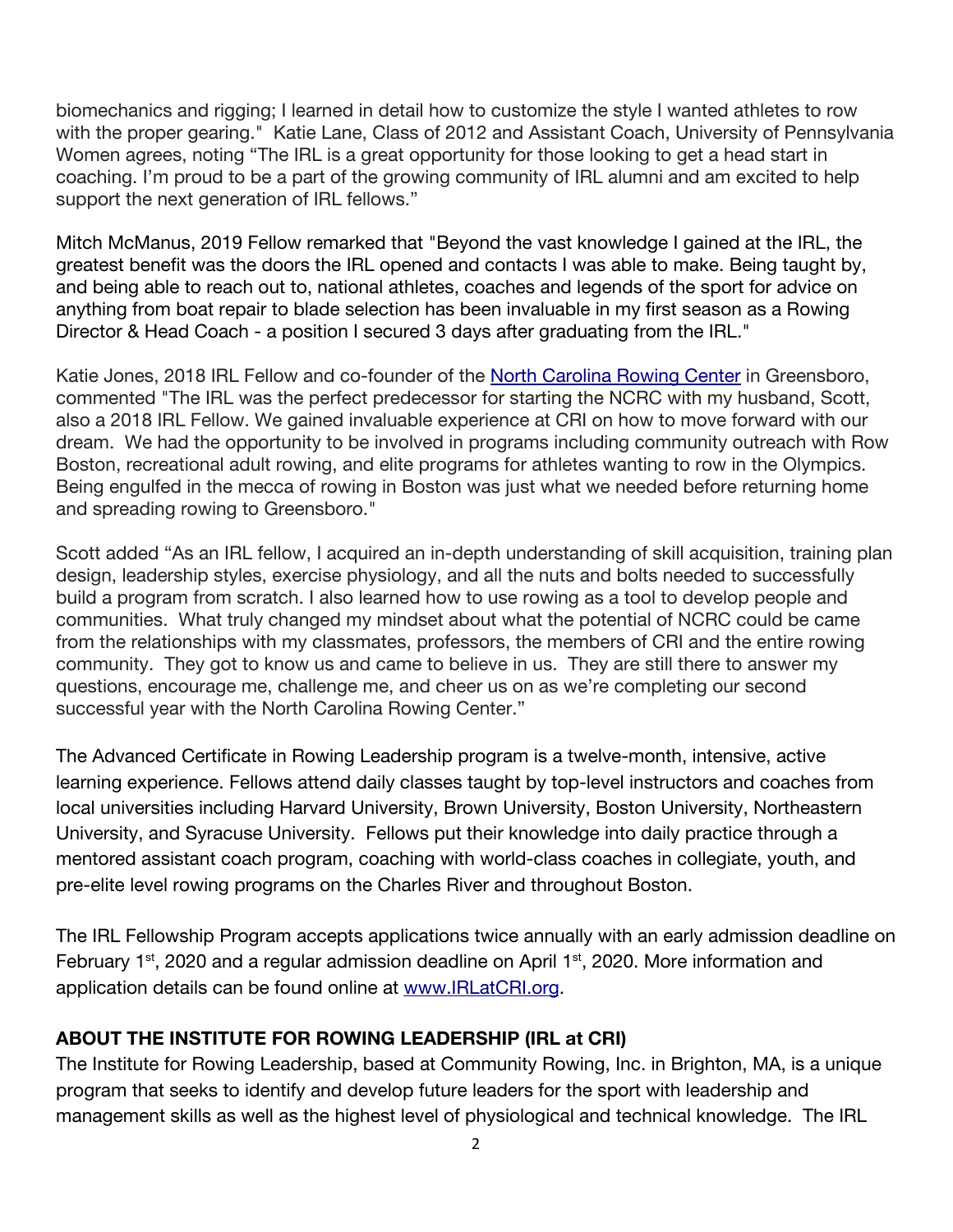biomechanics and rigging; I learned in detail how to customize the style I wanted athletes to row with the proper gearing." Katie Lane, Class of 2012 and Assistant Coach, University of Pennsylvania Women agrees, noting "The IRL is a great opportunity for those looking to get a head start in coaching. I'm proud to be a part of the growing community of IRL alumni and am excited to help support the next generation of IRL fellows."

Mitch McManus, 2019 Fellow remarked that "Beyond the vast knowledge I gained at the IRL, the greatest benefit was the doors the IRL opened and contacts I was able to make. Being taught by, and being able to reach out to, national athletes, coaches and legends of the sport for advice on anything from boat repair to blade selection has been invaluable in my first season as a Rowing Director & Head Coach - a position I secured 3 days after graduating from the IRL."

Katie Jones, 2018 IRL Fellow and co-founder of the [North Carolina Rowing Center](https://www.ncrowing.com/) in Greensboro, commented "The IRL was the perfect predecessor for starting the NCRC with my husband, Scott, also a 2018 IRL Fellow. We gained invaluable experience at CRI on how to move forward with our dream. We had the opportunity to be involved in programs including community outreach with Row Boston, recreational adult rowing, and elite programs for athletes wanting to row in the Olympics. Being engulfed in the mecca of rowing in Boston was just what we needed before returning home and spreading rowing to Greensboro."

Scott added "As an IRL fellow, I acquired an in-depth understanding of skill acquisition, training plan design, leadership styles, exercise physiology, and all the nuts and bolts needed to successfully build a program from scratch. I also learned how to use rowing as a tool to develop people and communities. What truly changed my mindset about what the potential of NCRC could be came from the relationships with my classmates, professors, the members of CRI and the entire rowing community. They got to know us and came to believe in us. They are still there to answer my questions, encourage me, challenge me, and cheer us on as we're completing our second successful year with the North Carolina Rowing Center."

The Advanced Certificate in Rowing Leadership program is a twelve-month, intensive, active learning experience. Fellows attend daily classes taught by top-level instructors and coaches from local universities including Harvard University, Brown University, Boston University, Northeastern University, and Syracuse University. Fellows put their knowledge into daily practice through a mentored assistant coach program, coaching with world-class coaches in collegiate, youth, and pre-elite level rowing programs on the Charles River and throughout Boston.

The IRL Fellowship Program accepts applications twice annually with an early admission deadline on February 1<sup>st</sup>, 2020 and a regular admission deadline on April 1<sup>st</sup>, 2020. More information and application details can be found online at [www.IRLatCRI.org](https://www.communityrowing.org/coach-education/rowing-leadership).

## **ABOUT THE INSTITUTE FOR ROWING LEADERSHIP (IRL at CRI)**

The Institute for Rowing Leadership, based at Community Rowing, Inc. in Brighton, MA, is a unique program that seeks to identify and develop future leaders for the sport with leadership and management skills as well as the highest level of physiological and technical knowledge. The IRL